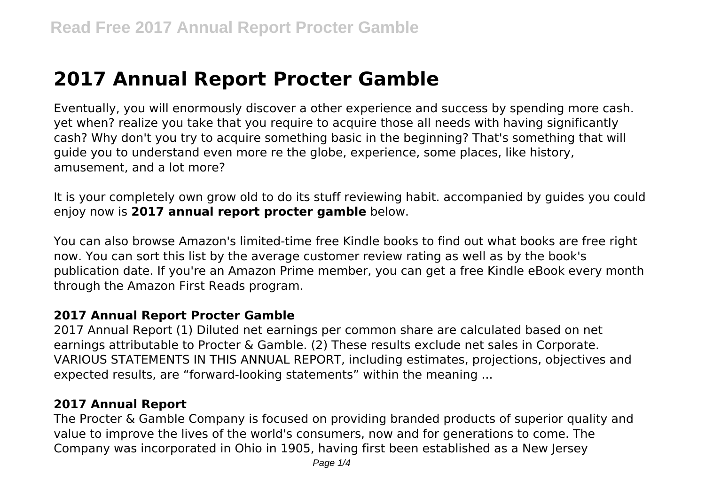# **2017 Annual Report Procter Gamble**

Eventually, you will enormously discover a other experience and success by spending more cash. yet when? realize you take that you require to acquire those all needs with having significantly cash? Why don't you try to acquire something basic in the beginning? That's something that will guide you to understand even more re the globe, experience, some places, like history, amusement, and a lot more?

It is your completely own grow old to do its stuff reviewing habit. accompanied by guides you could enjoy now is **2017 annual report procter gamble** below.

You can also browse Amazon's limited-time free Kindle books to find out what books are free right now. You can sort this list by the average customer review rating as well as by the book's publication date. If you're an Amazon Prime member, you can get a free Kindle eBook every month through the Amazon First Reads program.

## **2017 Annual Report Procter Gamble**

2017 Annual Report (1) Diluted net earnings per common share are calculated based on net earnings attributable to Procter & Gamble. (2) These results exclude net sales in Corporate. VARIOUS STATEMENTS IN THIS ANNUAL REPORT, including estimates, projections, objectives and expected results, are "forward-looking statements" within the meaning ...

# **2017 Annual Report**

The Procter & Gamble Company is focused on providing branded products of superior quality and value to improve the lives of the world's consumers, now and for generations to come. The Company was incorporated in Ohio in 1905, having first been established as a New Jersey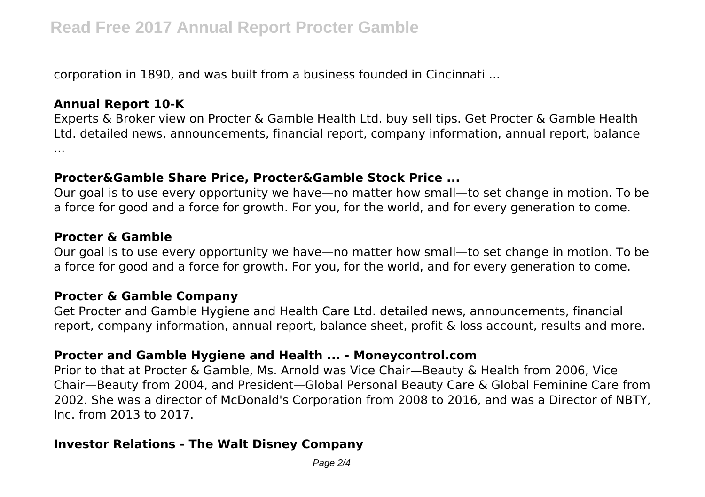corporation in 1890, and was built from a business founded in Cincinnati ...

#### **Annual Report 10-K**

Experts & Broker view on Procter & Gamble Health Ltd. buy sell tips. Get Procter & Gamble Health Ltd. detailed news, announcements, financial report, company information, annual report, balance ...

#### **Procter&Gamble Share Price, Procter&Gamble Stock Price ...**

Our goal is to use every opportunity we have—no matter how small—to set change in motion. To be a force for good and a force for growth. For you, for the world, and for every generation to come.

#### **Procter & Gamble**

Our goal is to use every opportunity we have—no matter how small—to set change in motion. To be a force for good and a force for growth. For you, for the world, and for every generation to come.

#### **Procter & Gamble Company**

Get Procter and Gamble Hygiene and Health Care Ltd. detailed news, announcements, financial report, company information, annual report, balance sheet, profit & loss account, results and more.

#### **Procter and Gamble Hygiene and Health ... - Moneycontrol.com**

Prior to that at Procter & Gamble, Ms. Arnold was Vice Chair—Beauty & Health from 2006, Vice Chair—Beauty from 2004, and President—Global Personal Beauty Care & Global Feminine Care from 2002. She was a director of McDonald's Corporation from 2008 to 2016, and was a Director of NBTY, Inc. from 2013 to 2017.

#### **Investor Relations - The Walt Disney Company**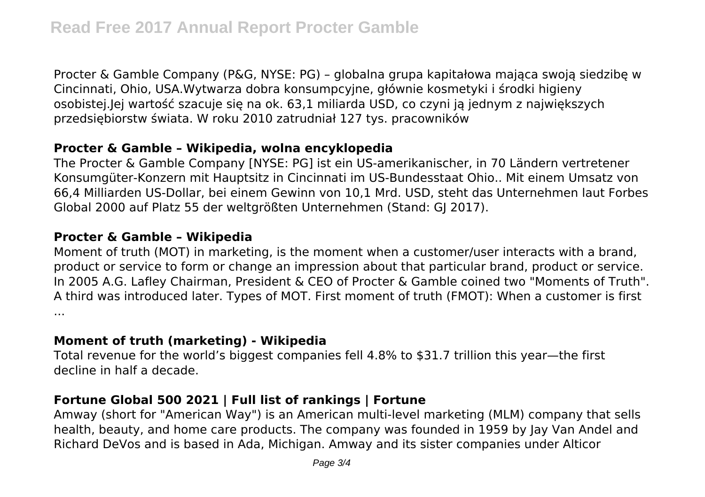Procter & Gamble Company (P&G, NYSE: PG) – globalna grupa kapitałowa mająca swoją siedzibę w Cincinnati, Ohio, USA.Wytwarza dobra konsumpcyjne, głównie kosmetyki i środki higieny osobistej.Jej wartość szacuje się na ok. 63,1 miliarda USD, co czyni ją jednym z największych przedsiębiorstw świata. W roku 2010 zatrudniał 127 tys. pracowników

## **Procter & Gamble – Wikipedia, wolna encyklopedia**

The Procter & Gamble Company [NYSE: PG] ist ein US-amerikanischer, in 70 Ländern vertretener Konsumgüter-Konzern mit Hauptsitz in Cincinnati im US-Bundesstaat Ohio.. Mit einem Umsatz von 66,4 Milliarden US-Dollar, bei einem Gewinn von 10,1 Mrd. USD, steht das Unternehmen laut Forbes Global 2000 auf Platz 55 der weltgrößten Unternehmen (Stand: GJ 2017).

## **Procter & Gamble – Wikipedia**

Moment of truth (MOT) in marketing, is the moment when a customer/user interacts with a brand, product or service to form or change an impression about that particular brand, product or service. In 2005 A.G. Lafley Chairman, President & CEO of Procter & Gamble coined two "Moments of Truth". A third was introduced later. Types of MOT. First moment of truth (FMOT): When a customer is first ...

## **Moment of truth (marketing) - Wikipedia**

Total revenue for the world's biggest companies fell 4.8% to \$31.7 trillion this year—the first decline in half a decade.

## **Fortune Global 500 2021 | Full list of rankings | Fortune**

Amway (short for "American Way") is an American multi-level marketing (MLM) company that sells health, beauty, and home care products. The company was founded in 1959 by Jay Van Andel and Richard DeVos and is based in Ada, Michigan. Amway and its sister companies under Alticor